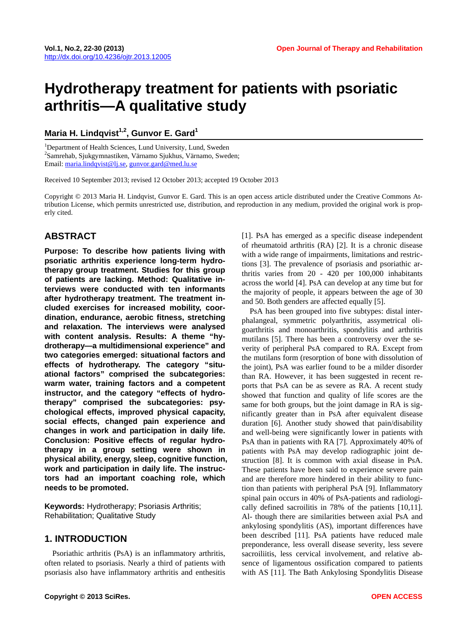# **Hydrotherapy treatment for patients with psoriatic arthritis—A qualitative study**

Maria H. Lindqvist<sup>1,2</sup>, Gunvor E. Gard<sup>1</sup>

<sup>1</sup>Department of Health Sciences, Lund University, Lund, Sweden <sup>2</sup>Semenakab, Sinkarmactiken, *Värmana*, Sund Samrehab, Sjukgymnastiken, Värnamo Sjukhus, Värnamo, Sweden; Email: [maria.lindqvist@lj.se](mailto:maria.lindqvist@lj.se), [gunvor.gard@med.lu.se](mailto:gunvor.gard@med.lu.se)

Received 10 September 2013; revised 12 October 2013; accepted 19 October 2013

Copyright © 2013 Maria H. Lindqvist, Gunvor E. Gard. This is an open access article distributed under the Creative Commons Attribution License, which permits unrestricted use, distribution, and reproduction in any medium, provided the original work is properly cited.

# **ABSTRACT**

**Purpose: To describe how patients living with psoriatic arthritis experience long-term hydrotherapy group treatment. Studies for this group of patients are lacking. Method: Qualitative interviews were conducted with ten informants after hydrotherapy treatment. The treatment included exercises for increased mobility, coordination, endurance, aerobic fitness, stretching and relaxation. The interviews were analysed with content analysis. Results: A theme "hydrotherapy—a multidimensional experience" and two categories emerged: situational factors and effects of hydrotherapy. The category "situational factors" comprised the subcategories: warm water, training factors and a competent instructor, and the category "effects of hydrotherapy" comprised the subcategories: psychological effects, improved physical capacity, social effects, changed pain experience and changes in work and participation in daily life. Conclusion: Positive effects of regular hydrotherapy in a group setting were shown in physical ability, energy, sleep, cognitive function, work and participation in daily life. The instructors had an important coaching role, which needs to be promoted.** 

**Keywords:** Hydrotherapy; Psoriasis Arthritis; Rehabilitation; Qualitative Study

# **1. INTRODUCTION**

Psoriathic arthritis (PsA) is an inflammatory arthritis, often related to psoriasis. Nearly a third of patients with psoriasis also have inflammatory arthritis and enthesitis

[1]. PsA has emerged as a specific disease independent of rheumatoid arthritis (RA) [2]. It is a chronic disease with a wide range of impairments, limitations and restrictions [3]. The prevalence of psoriasis and psoriathic arthritis varies from 20 - 420 per 100,000 inhabitants across the world [4]. PsA can develop at any time but for the majority of people, it appears between the age of 30 and 50. Both genders are affected equally [5].

PsA has been grouped into five subtypes: distal interphalangeal, symmetric polyarthritis, assymetrical oligoarthritis and monoarthritis, spondylitis and arthritis mutilans [5]. There has been a controversy over the severity of peripheral PsA compared to RA. Except from the mutilans form (resorption of bone with dissolution of the joint), PsA was earlier found to be a milder disorder than RA. However, it has been suggested in recent reports that PsA can be as severe as RA. A recent study showed that function and quality of life scores are the same for both groups, but the joint damage in RA is significantly greater than in PsA after equivalent disease duration [6]. Another study showed that pain/disability and well-being were significantly lower in patients with PsA than in patients with RA [7]. Approximately 40% of patients with PsA may develop radiographic joint destruction [8]. It is common with axial disease in PsA. These patients have been said to experience severe pain and are therefore more hindered in their ability to function than patients with peripheral PsA [9]. Inflammatory spinal pain occurs in 40% of PsA-patients and radiologically defined sacroilitis in 78% of the patients [10,11]. Al- though there are similarities between axial PsA and ankylosing spondylitis (AS), important differences have been described [11]. PsA patients have reduced male preponderance, less overall disease severity, less severe sacroiliitis, less cervical involvement, and relative absence of ligamentous ossification compared to patients with AS [11]. The Bath Ankylosing Spondylitis Disease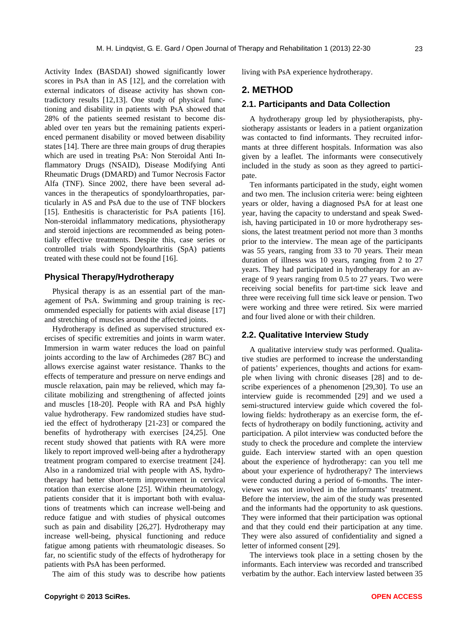Activity Index (BASDAI) showed significantly lower scores in PsA than in AS [12], and the correlation with external indicators of disease activity has shown contradictory results [12,13]. One study of physical functioning and disability in patients with PsA showed that 28% of the patients seemed resistant to become disabled over ten years but the remaining patients experienced permanent disability or moved between disability states [14]. There are three main groups of drug therapies which are used in treating PsA: Non Steroidal Anti Inflammatory Drugs (NSAID), Disease Modifying Anti Rheumatic Drugs (DMARD) and Tumor Necrosis Factor Alfa (TNF). Since 2002, there have been several advances in the therapeutics of spondyloarthropaties, particularly in AS and PsA due to the use of TNF blockers [15]. Enthesitis is characteristic for PsA patients [16]. Non-steroidal inflammatory medications, physiotherapy and steroid injections are recommended as being potentially effective treatments. Despite this, case series or controlled trials with Spondyloarthritis (SpA) patients treated with these could not be found [16].

### **Physical Therapy/Hydrotherapy**

Physical therapy is as an essential part of the management of PsA. Swimming and group training is recommended especially for patients with axial disease [17] and stretching of muscles around the affected joints.

Hydrotherapy is defined as supervised structured exercises of specific extremities and joints in warm water. Immersion in warm water reduces the load on painful joints according to the law of Archimedes (287 BC) and allows exercise against water resistance. Thanks to the effects of temperature and pressure on nerve endings and muscle relaxation, pain may be relieved, which may facilitate mobilizing and strengthening of affected joints and muscles [18-20]. People with RA and PsA highly value hydrotherapy. Few randomized studies have studied the effect of hydrotherapy [21-23] or compared the benefits of hydrotherapy with exercises [24,25]. One recent study showed that patients with RA were more likely to report improved well-being after a hydrotherapy treatment program compared to exercise treatment [24]. Also in a randomized trial with people with AS, hydrotherapy had better short-term improvement in cervical rotation than exercise alone [25]. Within rheumatology, patients consider that it is important both with evaluations of treatments which can increase well-being and reduce fatigue and with studies of physical outcomes such as pain and disability [26,27]. Hydrotherapy may increase well-being, physical functioning and reduce fatigue among patients with rheumatologic diseases. So far, no scientific study of the effects of hydrotherapy for patients with PsA has been performed.

The aim of this study was to describe how patients

living with PsA experience hydrotherapy.

#### **2. METHOD**

#### **2.1. Participants and Data Collection**

A hydrotherapy group led by physiotherapists, physiotherapy assistants or leaders in a patient organization was contacted to find informants. They recruited informants at three different hospitals. Information was also given by a leaflet. The informants were consecutively included in the study as soon as they agreed to participate.

Ten informants participated in the study, eight women and two men. The inclusion criteria were: being eighteen years or older, having a diagnosed PsA for at least one year, having the capacity to understand and speak Swedish, having participated in 10 or more hydrotherapy sessions, the latest treatment period not more than 3 months prior to the interview. The mean age of the participants was 55 years, ranging from 33 to 70 years. Their mean duration of illness was 10 years, ranging from 2 to 27 years. They had participated in hydrotherapy for an average of 9 years ranging from 0.5 to 27 years. Two were receiving social benefits for part-time sick leave and three were receiving full time sick leave or pension. Two were working and three were retired. Six were married and four lived alone or with their children.

#### **2.2. Qualitative Interview Study**

A qualitative interview study was performed. Qualitative studies are performed to increase the understanding of patients' experiences, thoughts and actions for example when living with chronic diseases [28] and to describe experiences of a phenomenon [29,30]. To use an interview guide is recommended [29] and we used a semi-structured interview guide which covered the following fields: hydrotherapy as an exercise form, the effects of hydrotherapy on bodily functioning, activity and participation. A pilot interview was conducted before the study to check the procedure and complete the interview guide. Each interview started with an open question about the experience of hydrotherapy: can you tell me about your experience of hydrotherapy? The interviews were conducted during a period of 6-months. The interviewer was not involved in the informants' treatment. Before the interview, the aim of the study was presented and the informants had the opportunity to ask questions. They were informed that their participation was optional and that they could end their participation at any time. They were also assured of confidentiality and signed a letter of informed consent [29].

The interviews took place in a setting chosen by the informants. Each interview was recorded and transcribed verbatim by the author. Each interview lasted between 35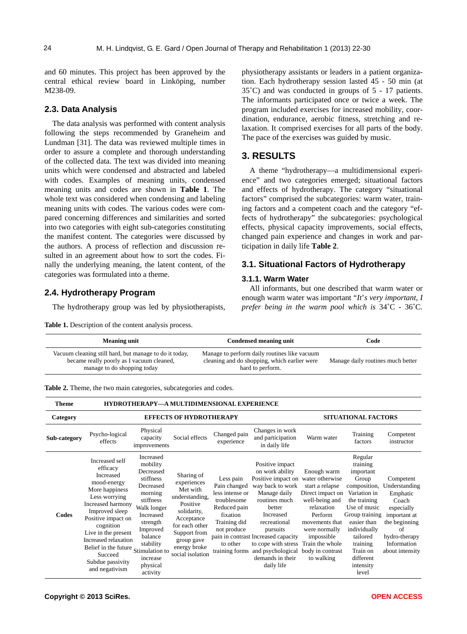24

and 60 minutes. This project has been approved by the central ethical review board in Linköping, number M238-09.

#### **2.3. Data Analysis**

The data analysis was performed with content analysis following the steps recommended by Graneheim and Lundman [31]. The data was reviewed multiple times in order to assure a complete and thorough understanding of the collected data. The text was divided into meaning units which were condensed and abstracted and labeled with codes. Examples of meaning units, condensed meaning units and codes are shown in **Table 1**. The whole text was considered when condensing and labeling meaning units with codes. The various codes were compared concerning differences and similarities and sorted into two categories with eight sub-categories constituting the manifest content. The categories were discussed by the authors. A process of reflection and discussion resulted in an agreement about how to sort the codes. Finally the underlying meaning, the latent content, of the categories was formulated into a theme.

# **2.4. Hydrotherapy Program**

The hydrotherapy group was led by physiotherapists,

Table 1. Description of the content analysis process.

physiotherapy assistants or leaders in a patient organization. Each hydrotherapy session lasted 45 - 50 min (at 35˚C) and was conducted in groups of 5 - 17 patients. The informants participated once or twice a week. The program included exercises for increased mobility, coordination, endurance, aerobic fitness, stretching and relaxation. It comprised exercises for all parts of the body. The pace of the exercises was guided by music.

## **3. RESULTS**

A theme "hydrotherapy—a multidimensional experience" and two categories emerged; situational factors and effects of hydrotherapy. The category "situational factors" comprised the subcategories: warm water, training factors and a competent coach and the category "effects of hydrotherapy" the subcategories: psychological effects, physical capacity improvements, social effects, changed pain experience and changes in work and participation in daily life **Table 2**.

#### **3.1. Situational Factors of Hydrotherapy**

#### **3.1.1. Warm Water**

All informants, but one described that warm water or enough warm water was important "*It*'*s very important*, *I prefer being in the warm pool which is* 34˚C - 36˚C*.* 

| <b>Meaning unit</b>                                                                                                                | Condensed meaning unit                                                                                           | Code                              |  |  |
|------------------------------------------------------------------------------------------------------------------------------------|------------------------------------------------------------------------------------------------------------------|-----------------------------------|--|--|
| Vacuum cleaning still hard, but manage to do it today,<br>became really poorly as I vacuum cleaned,<br>manage to do shopping today | Manage to perform daily routines like vacuum<br>cleaning and do shopping, which earlier were<br>hard to perform. | Manage daily routines much better |  |  |

|  |  | Table 2. Theme, the two main categories, subcategories and codes. |  |  |
|--|--|-------------------------------------------------------------------|--|--|
|  |  |                                                                   |  |  |

| <b>Theme</b>             |                                                                                                                                                                                                                                                                                                            | HYDROTHERAPY—A MULTIDIMENSIONAL EXPERIENCE                                                                                                                                                           |                                                                                                                                                                                      |                                                                                                                                                      |                                                                                                                                                                                                                                                                                                        |                                                                                                                                                                                                    |                                                                                                                                                                                                                                   |                                                                                                                                                         |  |
|--------------------------|------------------------------------------------------------------------------------------------------------------------------------------------------------------------------------------------------------------------------------------------------------------------------------------------------------|------------------------------------------------------------------------------------------------------------------------------------------------------------------------------------------------------|--------------------------------------------------------------------------------------------------------------------------------------------------------------------------------------|------------------------------------------------------------------------------------------------------------------------------------------------------|--------------------------------------------------------------------------------------------------------------------------------------------------------------------------------------------------------------------------------------------------------------------------------------------------------|----------------------------------------------------------------------------------------------------------------------------------------------------------------------------------------------------|-----------------------------------------------------------------------------------------------------------------------------------------------------------------------------------------------------------------------------------|---------------------------------------------------------------------------------------------------------------------------------------------------------|--|
| Category<br>Sub-category | <b>EFFECTS OF HYDROTHERAPY</b>                                                                                                                                                                                                                                                                             |                                                                                                                                                                                                      |                                                                                                                                                                                      |                                                                                                                                                      | <b>SITUATIONAL FACTORS</b>                                                                                                                                                                                                                                                                             |                                                                                                                                                                                                    |                                                                                                                                                                                                                                   |                                                                                                                                                         |  |
|                          | Psycho-logical<br>effects                                                                                                                                                                                                                                                                                  | Physical<br>capacity<br>improvements                                                                                                                                                                 | Social effects                                                                                                                                                                       | Changed pain<br>experience                                                                                                                           | Changes in work<br>and participation<br>in daily life                                                                                                                                                                                                                                                  | Warm water                                                                                                                                                                                         | Training<br>factors                                                                                                                                                                                                               | Competent<br>instructor                                                                                                                                 |  |
| Codes                    | Increased self<br>efficacy<br>Increased<br>mood-energy<br>More happiness<br>Less worrying<br>Increased harmony<br>Improved sleep<br>Positive impact on<br>cognition<br>Live in the present<br>Increased relaxation<br>Belief in the future Stimulation to<br>Succeed<br>Subdue passivity<br>and negativism | Increased<br>mobility<br>Decreased<br>stiffness<br>Decreased<br>morning<br>stiffness<br>Walk longer<br>Increased<br>strength<br>Improved<br>balance<br>stability<br>increase<br>physical<br>activity | Sharing of<br>experiences<br>Met with<br>understanding,<br>Positive<br>solidarity,<br>Acceptance<br>for each other<br>Support from<br>group gave<br>energy broke<br>social isolation | Less pain<br>Pain changed<br>less intense or<br>troublesome<br>Reduced pain<br>fixation<br>Training did<br>not produce<br>to other<br>training forms | Positive impact<br>on work ability<br>Positive impact on<br>way back to work<br>Manage daily<br>routines much<br>better<br>Increased<br>recreational<br>pursuits<br>pain in contrast Increased capacity<br>to cope with stress<br>and psychological body in contrast<br>demands in their<br>daily life | Enough warm<br>water otherwise<br>start a relapse<br>Direct impact on<br>well-being and<br>relaxation<br>Perform<br>movements that<br>were normally<br>impossible<br>Train the whole<br>to walking | Regular<br>training<br>important<br>Group<br>composition,<br>Variation in<br>the training<br>Use of music<br>Group training<br>easier than<br>individually<br>tailored<br>training<br>Train on<br>different<br>intensity<br>level | Competent<br>Understanding<br>Emphatic<br>Coach<br>especially<br>important at<br>the beginning<br>of<br>hydro-therapy<br>Information<br>about intensity |  |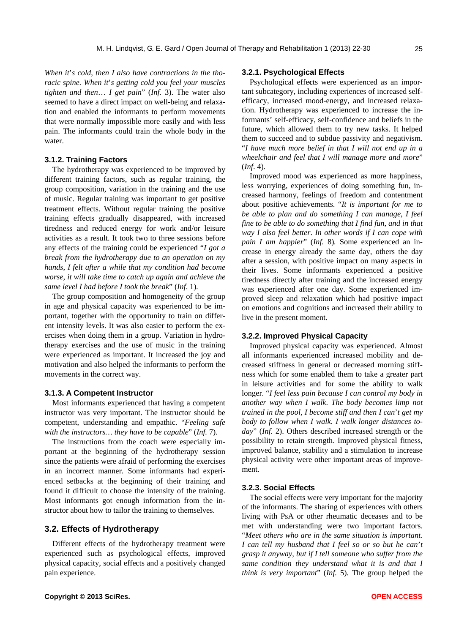*When it*'*s cold*, *then I also have contractions in the thoracic spine. When it*'*s getting cold you feel your muscles tighten and then*… *I get pain*" (*Inf.* 3). The water also seemed to have a direct impact on well-being and relaxation and enabled the informants to perform movements that were normally impossible more easily and with less pain. The informants could train the whole body in the water.

#### **3.1.2. Training Factors**

The hydrotherapy was experienced to be improved by different training factors, such as regular training, the group composition, variation in the training and the use of music. Regular training was important to get positive treatment effects. Without regular training the positive training effects gradually disappeared, with increased tiredness and reduced energy for work and/or leisure activities as a result. It took two to three sessions before any effects of the training could be experienced "*I got a break from the hydrotherapy due to an operation on my hands*, *I felt after a while that my condition had become worse*, *it will take time to catch up again and achieve the same level I had before I took the break*" (*Inf*. 1)*.* 

The group composition and homogeneity of the group in age and physical capacity was experienced to be important, together with the opportunity to train on different intensity levels. It was also easier to perform the exercises when doing them in a group. Variation in hydrotherapy exercises and the use of music in the training were experienced as important. It increased the joy and motivation and also helped the informants to perform the movements in the correct way.

#### **3.1.3. A Competent Instructor**

Most informants experienced that having a competent instructor was very important. The instructor should be competent, understanding and empathic. "*Feeling safe with the instructors… they have to be capable*" (*Inf.* 7)*.*

The instructions from the coach were especially important at the beginning of the hydrotherapy session since the patients were afraid of performing the exercises in an incorrect manner. Some informants had experienced setbacks at the beginning of their training and found it difficult to choose the intensity of the training. Most informants got enough information from the instructor about how to tailor the training to themselves.

# **3.2. Effects of Hydrotherapy**

Different effects of the hydrotherapy treatment were experienced such as psychological effects, improved physical capacity, social effects and a positively changed pain experience.

#### **3.2.1. Psychological Effects**

Psychological effe**c**ts were experienced as an important subcategory, including experiences of increased selfefficacy, increased mood-energy, and increased relaxation. Hydrotherapy was experienced to increase the informants' self-efficacy, self-confidence and beliefs in the future, which allowed them to try new tasks. It helped them to succeed and to subdue passivity and negativism. "*I have much more belief in that I will not end up in a wheelchair and feel that I will manage more and more*" (*Inf*. 4).

Improved mood was experienced as more happiness, less worrying, experiences of doing something fun, increased harmony, feelings of freedom and contentment about positive achievements. "*It is important for me to be able to plan and do something I can manage*, *I feel fine to be able to do something that I find fun*, *and in that way I also feel better*. *In other words if I can cope with pain I am happier*" (*Inf.* 8)*.* Some experienced an increase in energy already the same day, others the day after a session, with positive impact on many aspects in their lives. Some informants experienced a positive tiredness directly after training and the increased energy was experienced after one day. Some experienced improved sleep and relaxation which had positive impact on emotions and cognitions and increased their ability to live in the present moment.

#### **3.2.2. Improved Physical Capacity**

Improved physical capacity was experienced. Almost all informants experienced increased mobility and decreased stiffness in general or decreased morning stiffness which for some enabled them to take a greater part in leisure activities and for some the ability to walk longer. "*I feel less pain because I can control my body in another way when I walk*. *The body becomes limp not trained in the pool*, *I become stiff and then I can*'*t get my body to follow when I walk*. *I walk longer distances today*" (*Inf.* 2). Others described increased strength or the possibility to retain strength. Improved physical fitness, improved balance, stability and a stimulation to increase physical activity were other important areas of improvement.

#### **3.2.3. Social Effects**

The social effects were very important for the majority of the informants. The sharing of experiences with others living with PsA or other rheumatic deceases and to be met with understanding were two important factors. "*Meet others who are in the same situation is important*. *I can tell my husband that I feel so or so but he can*'*t grasp it anyway*, *but if I tell someone who suffer from the same condition they understand what it is and that I think is very important*" (*Inf.* 5)*.* The group helped the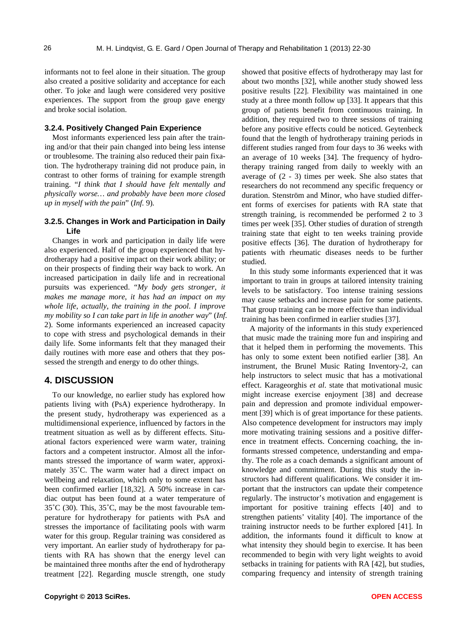informants not to feel alone in their situation. The group also created a positive solidarity and acceptance for each other. To joke and laugh were considered very positive experiences. The support from the group gave energy and broke social isolation.

#### **3.2.4. Positively Changed Pain Experience**

Most informants experienced less pain after the training and/or that their pain changed into being less intense or troublesome. The training also reduced their pain fixation. The hydrotherapy training did not produce pain, in contrast to other forms of training for example strength training. "*I think that I should have felt mentally and physically worse… and probably have been more closed up in myself with the pain*" (*Inf.* 9)*.* 

#### **3.2.5. Changes in Work and Participation in Daily Life**

Changes in work and participation in daily life were also experienced. Half of the group experienced that hydrotherapy had a positive impact on their work ability; or on their prospects of finding their way back to work. An increased participation in daily life and in recreational pursuits was experienced. "*My body gets stronger*, *it makes me manage more*, *it has had an impact on my whole life*, *actually*, *the training in the pool*. *I improve my mobility so I can take part in life in another way*" (*Inf.*  2). Some informants experienced an increased capacity to cope with stress and psychological demands in their daily life. Some informants felt that they managed their daily routines with more ease and others that they possessed the strength and energy to do other things.

# **4. DISCUSSION**

To our knowledge, no earlier study has explored how patients living with (PsA) experience hydrotherapy. In the present study, hydrotherapy was experienced as a multidimensional experience, influenced by factors in the treatment situation as well as by different effects. Situational factors experienced were warm water, training factors and a competent instructor. Almost all the informants stressed the importance of warm water, approximately 35˚C. The warm water had a direct impact on wellbeing and relaxation, which only to some extent has been confirmed earlier [18,32]. A 50% increase in cardiac output has been found at a water temperature of 35˚C (30). This, 35˚C, may be the most favourable temperature for hydrotherapy for patients with PsA and stresses the importance of facilitating pools with warm water for this group. Regular training was considered as very important. An earlier study of hydrotherapy for patients with RA has shown that the energy level can be maintained three months after the end of hydrotherapy treatment [22]. Regarding muscle strength, one study showed that positive effects of hydrotherapy may last for about two months [32], while another study showed less positive results [22]. Flexibility was maintained in one study at a three month follow up [33]. It appears that this group of patients benefit from continuous training. In addition, they required two to three sessions of training before any positive effects could be noticed. Geytenbeck found that the length of hydrotherapy training periods in different studies ranged from four days to 36 weeks with an average of 10 weeks [34]. The frequency of hydrotherapy training ranged from daily to weekly with an average of (2 - 3) times per week. She also states that researchers do not recommend any specific frequency or duration. Stenström and Minor, who have studied different forms of exercises for patients with RA state that strength training, is recommended be performed 2 to 3 times per week [35]. Other studies of duration of strength training state that eight to ten weeks training provide positive effects [36]. The duration of hydrotherapy for patients with rheumatic diseases needs to be further studied.

In this study some informants experienced that it was important to train in groups at tailored intensity training levels to be satisfactory. Too intense training sessions may cause setbacks and increase pain for some patients. That group training can be more effective than individual training has been confirmed in earlier studies [37].

A majority of the informants in this study experienced that music made the training more fun and inspiring and that it helped them in performing the movements. This has only to some extent been notified earlier [38]. An instrument, the Brunel Music Rating Inventory-2, can help instructors to select music that has a motivational effect. Karageorghis *et al*. state that motivational music might increase exercise enjoyment [38] and decrease pain and depression and promote individual empowerment [39] which is of great importance for these patients. Also competence development for instructors may imply more motivating training sessions and a positive difference in treatment effects. Concerning coaching, the informants stressed competence, understanding and empathy. The role as a coach demands a significant amount of knowledge and commitment. During this study the instructors had different qualifications. We consider it important that the instructors can update their competence regularly. The instructor's motivation and engagement is important for positive training effects [40] and to strengthen patients' vitality [40]. The importance of the training instructor needs to be further explored [41]. In addition, the informants found it difficult to know at what intensity they should begin to exercise. It has been recommended to begin with very light weights to avoid setbacks in training for patients with RA [42], but studies, comparing frequency and intensity of strength training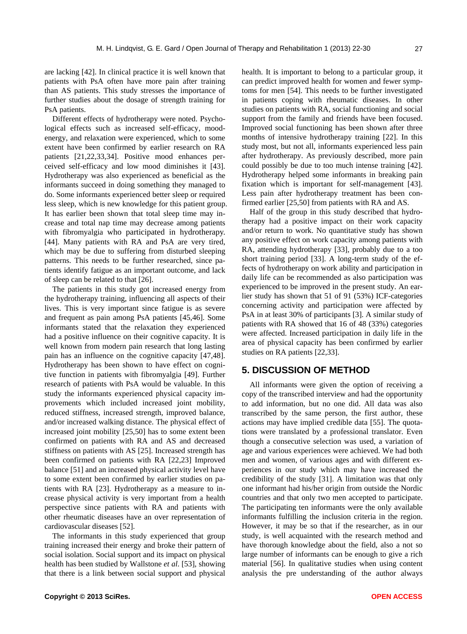are lacking [42]. In clinical practice it is well known that patients with PsA often have more pain after training than AS patients. This study stresses the importance of further studies about the dosage of strength training for PsA patients.

Different effects of hydrotherapy were noted. Psychological effects such as increased self-efficacy, moodenergy, and relaxation were experienced, which to some extent have been confirmed by earlier research on RA patients [21,22,33,34]. Positive mood enhances perceived self-efficacy and low mood diminishes it [43]. Hydrotherapy was also experienced as beneficial as the informants succeed in doing something they managed to do. Some informants experienced better sleep or required less sleep, which is new knowledge for this patient group. It has earlier been shown that total sleep time may increase and total nap time may decrease among patients with fibromyalgia who participated in hydrotherapy. [44]. Many patients with RA and PsA are very tired, which may be due to suffering from disturbed sleeping patterns. This needs to be further researched, since patients identify fatigue as an important outcome, and lack of sleep can be related to that [26].

The patients in this study got increased energy from the hydrotherapy training, influencing all aspects of their lives. This is very important since fatigue is as severe and frequent as pain among PsA patients [45,46]. Some informants stated that the relaxation they experienced had a positive influence on their cognitive capacity. It is well known from modern pain research that long lasting pain has an influence on the cognitive capacity [47,48]. Hydrotherapy has been shown to have effect on cognitive function in patients with fibromyalgia [49]. Further research of patients with PsA would be valuable. In this study the informants experienced physical capacity improvements which included increased joint mobility, reduced stiffness, increased strength, improved balance, and/or increased walking distance. The physical effect of increased joint mobility [25,50] has to some extent been confirmed on patients with RA and AS and decreased stiffness on patients with AS [25]. Increased strength has been confirmed on patients with RA [22,23] Improved balance [51] and an increased physical activity level have to some extent been confirmed by earlier studies on patients with RA [23]. Hydrotherapy as a measure to increase physical activity is very important from a health perspective since patients with RA and patients with other rheumatic diseases have an over representation of cardiovascular diseases [52].

The informants in this study experienced that group training increased their energy and broke their pattern of social isolation. Social support and its impact on physical health has been studied by Wallstone *et al*. [53], showing that there is a link between social support and physical health. It is important to belong to a particular group, it can predict improved health for women and fewer symptoms for men [54]. This needs to be further investigated in patients coping with rheumatic diseases. In other studies on patients with RA, social functioning and social support from the family and friends have been focused. Improved social functioning has been shown after three months of intensive hydrotherapy training [22]. In this study most, but not all, informants experienced less pain after hydrotherapy. As previously described, more pain could possibly be due to too much intense training [42]. Hydrotherapy helped some informants in breaking pain fixation which is important for self-management [43]. Less pain after hydrotherapy treatment has been confirmed earlier [25,50] from patients with RA and AS.

Half of the group in this study described that hydrotherapy had a positive impact on their work capacity and/or return to work. No quantitative study has shown any positive effect on work capacity among patients with RA, attending hydrotherapy [33], probably due to a too short training period [33]. A long-term study of the effects of hydrotherapy on work ability and participation in daily life can be recommended as also participation was experienced to be improved in the present study. An earlier study has shown that 51 of 91 (53%) ICF-categories concerning activity and participation were affected by PsA in at least 30% of participants [3]. A similar study of patients with RA showed that 16 of 48 (33%) categories were affected. Increased participation in daily life in the area of physical capacity has been confirmed by earlier studies on RA patients [22,33].

# **5. DISCUSSION OF METHOD**

All informants were given the option of receiving a copy of the transcribed interview and had the opportunity to add information, but no one did. All data was also transcribed by the same person, the first author, these actions may have implied credible data [55]. The quotations were translated by a professional translator. Even though a consecutive selection was used, a variation of age and various experiences were achieved. We had both men and women, of various ages and with different experiences in our study which may have increased the credibility of the study [31]. A limitation was that only one informant had his/her origin from outside the Nordic countries and that only two men accepted to participate. The participating ten informants were the only available informants fulfilling the inclusion criteria in the region. However, it may be so that if the researcher, as in our study, is well acquainted with the research method and have thorough knowledge about the field, also a not so large number of informants can be enough to give a rich material [56]. In qualitative studies when using content analysis the pre understanding of the author always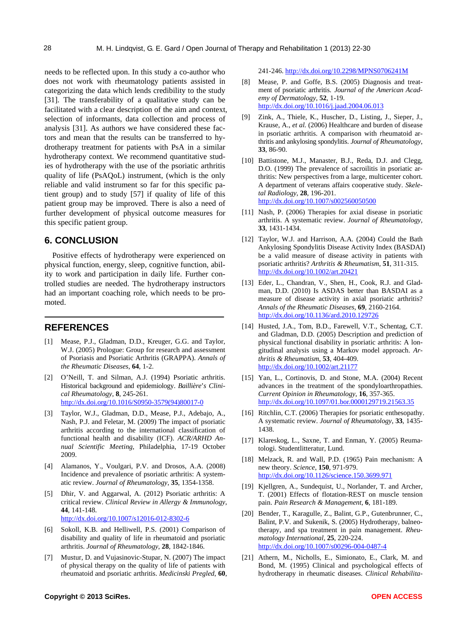needs to be reflected upon. In this study a co-author who does not work with rheumatology patients assisted in categorizing the data which lends credibility to the study [31]. The transferability of a qualitative study can be facilitated with a clear description of the aim and context, selection of informants, data collection and process of analysis [31]. As authors we have considered these factors and mean that the results can be transferred to hydrotherapy treatment for patients with PsA in a similar hydrotherapy context. We recommend quantitative studies of hydrotherapy with the use of the psoriatic arthritis quality of life (PsAQoL) instrument, (which is the only reliable and valid instrument so far for this specific patient group) and to study [57] if quality of life of this patient group may be improved. There is also a need of further development of physical outcome measures for this specific patient group.

### **6. CONCLUSION**

Positive effects of hydrotherapy were experienced on physical function, energy, sleep, cognitive function, ability to work and participation in daily life. Further controlled studies are needed. The hydrotherapy instructors had an important coaching role, which needs to be promoted.

# **REFERENCES**

- [1] Mease, P.J., Gladman, D.D., Kreuger, G.G. and Taylor, W.J. (2005) Prologue: Group for research and assessment of Psoriasis and Psoriatic Arthritis (GRAPPA). *Annals of the Rheumatic Diseases*, **64**, 1-2.
- [2] O'Neill, T. and Silman, A.J. (1994) Psoriatic arthritis. Historical background and epidemiology. *Baillière*'*s Clinical Rheumatology*, **8**, 245-261. [http://dx.doi.org/10.1016/S0950-3579\(94\)80017-0](http://dx.doi.org/10.1016/S0950-3579(94)80017-0)
- [3] Taylor, W.J., Gladman, D.D., Mease, P.J., Adebajo, A., Nash, P.J. and Feletar, M. (2009) The impact of psoriatic arthritis according to the international classification of functional health and disability (ICF). *ACR/ARHD Annual Scientific Meeting*, Philadelphia, 17-19 October 2009.
- [4] Alamanos, Y., Voulgari, P.V. and Drosos, A.A. (2008) Incidence and prevalence of psoriatic arthritis: A systematic review. *Journal of Rheumatology*, **35**, 1354-1358.
- [5] Dhir, V. and Aggarwal, A. (2012) Psoriatic arthritis: A critical review. *Clinical Review in Allergy & Immunology*, **44**, 141-148. <http://dx.doi.org/10.1007/s12016-012-8302-6>
- [6] Sokoll, K.B. and Helliwell, P.S. (2001) Comparison of disability and quality of life in rheumatoid and psoriatic arthritis. *Journal of Rheumatology*, **28**, 1842-1846.
- [7] Mustur, D. and Vujasinovic-Stupar, N. (2007) The impact of physical therapy on the quality of life of patients with rheumatoid and psoriatic arthritis. *Medicinski Pregled*, **60**,

241-246. <http://dx.doi.org/10.2298/MPNS0706241M>

- [8] Mease, P. and Goffe, B.S. (2005) Diagnosis and treatment of psoriatic arthritis. *Journal of the American Academy of Dermatology*, **52**, 1-19. <http://dx.doi.org/10.1016/j.jaad.2004.06.013>
- [9] Zink, A., Thiele, K., Huscher, D., Listing, J., Sieper, J., Krause, A., *et al.* (2006) Healthcare and burden of disease in psoriatic arthritis. A comparison with rheumatoid arthritis and ankylosing spondylitis. *Journal of Rheumatology*, **33**, 86-90.
- [10] Battistone, M.J., Manaster, B.J., Reda, D.J. and Clegg, D.O. (1999) The prevalence of sacroilitis in psoriatic arthritis: New perspectives from a large, multicenter cohort. A department of veterans affairs cooperative study. *Skeletal Radiology*, **28**, 196-201. <http://dx.doi.org/10.1007/s002560050500>
- [11] Nash, P. (2006) Therapies for axial disease in psoriatic arthritis. A systematic review. *Journal of Rheumatology*, **33**, 1431-1434.
- [12] Taylor, W.J. and Harrison, A.A. (2004) Could the Bath Ankylosing Spondylitis Disease Activity Index (BASDAI) be a valid measure of disease activity in patients with psoriatic arthritis? *Arthritis & Rheumatism*, **51**, 311-315. <http://dx.doi.org/10.1002/art.20421>
- [13] Eder, L., Chandran, V., Shen, H., Cook, R.J. and Gladman, D.D. (2010) Is ASDAS better than BASDAI as a measure of disease activity in axial psoriatic arthritis? *Annals of the Rheumatic Diseases*, **69**, 2160-2164. <http://dx.doi.org/10.1136/ard.2010.129726>
- [14] Husted, J.A., Tom, B.D., Farewell, V.T., Schentag, C.T. and Gladman, D.D. (2005) Description and prediction of physical functional disability in psoriatic arthritis: A longitudinal analysis using a Markov model approach. *Arthritis & Rheumatism*, **53**, 404-409. <http://dx.doi.org/10.1002/art.21177>
- [15] Yan, L., Cortinovis, D. and Stone, M.A. (2004) Recent advances in the treatment of the spondyloarthropathies. *Current Opinion in Rheumatology*, **16**, 357-365. <http://dx.doi.org/10.1097/01.bor.0000129719.21563.35>
- [16] Ritchlin, C.T. (2006) Therapies for psoriatic enthesopathy. A systematic review. *Journal of Rheumatology*, **33**, 1435- 1438.
- [17] Klareskog, L., Saxne, T. and Enman, Y. (2005) Reumatologi. Studentlitteratur, Lund.
- [18] Melzack, R. and Wall, P.D. (1965) Pain mechanism: A new theory. *Science*, **150**, 971-979. <http://dx.doi.org/10.1126/science.150.3699.971>
- [19] Kjellgren, A., Sundequist, U., Norlander, T. and Archer, T. (2001) Effects of flotation-REST on muscle tension pain. *Pain Research & Management*, **6**, 181-189.
- [20] Bender, T., Karagulle, Z., Balint, G.P., Gutenbrunner, C., Balint, P.V. and Sukenik, S. (2005) Hydrotherapy, balneotherapy, and spa treatment in pain management. *Rheumatology International*, **25**, 220-224. <http://dx.doi.org/10.1007/s00296-004-0487-4>
- [21] Athern, M., Nicholls, E., Simionato, E., Clark, M. and Bond, M. (1995) Clinical and psychological effects of hydrotherapy in rheumatic diseases. *Clinical Rehabilita-*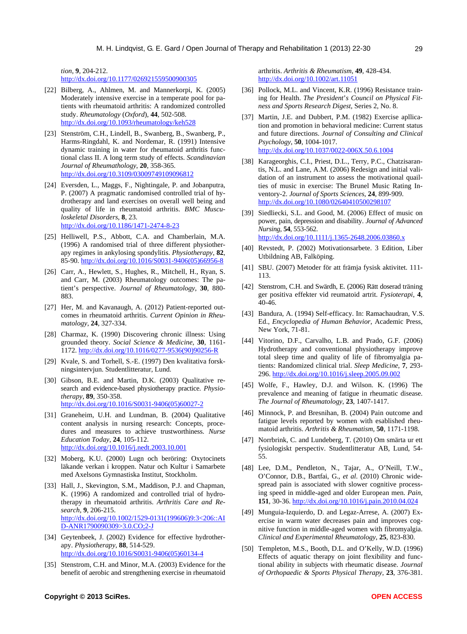*tion*, **9**, 204-212. http://dx.doi.org/10.1177/026921559500900305

- [22] Bilberg, A., Ahlmen, M. and Mannerkorpi, K. (2005) Moderately intensive exercise in a temperate pool for patients with rheumatoid arthritis: A randomized controlled study. *Rheumatology* (*Oxford*), **44**, 502-508. <http://dx.doi.org/10.1093/rheumatology/keh528>
- [23] Stenström, C.H., Lindell, B., Swanberg, B., Swanberg, P., Harms-Ringdahl, K. and Nordemar, R. (1991) Intensive dynamic training in water for rheumatoid arthritis functional class II. A long term study of effects. *Scandinavian Journal of Rheumathology*, **20**, 358-365. <http://dx.doi.org/10.3109/03009749109096812>
- [24] Eversden, L., Maggs, F., Nightingale, P. and Jobanputra, P. (2007) A pragmatic randomised controlled trial of hydrotherapy and land exercises on overall well being and quality of life in rheumatoid arthritis. *BMC Musculoskeletal Disorders*, **8**, 23. <http://dx.doi.org/10.1186/1471-2474-8-23>
- [25] Helliwell, P.S., Abbott, C.A. and Chamberlain, M.A. (1996) A randomised trial of three different physiotherapy regimes in ankylosing spondylitis. *Physiotherapy*, **82**, 85-90. [http://dx.doi.org/10.1016/S0031-9406\(05\)66956-8](http://dx.doi.org/10.1016/S0031-9406(05)66956-8)
- [26] Carr, A., Hewlett, S., Hughes, R., Mitchell, H., Ryan, S. and Carr, M. (2003) Rheumatology outcomes: The patient's perspective. *Journal of Rheumatology*, **30**, 880- 883.
- [27] Her, M. and Kavanaugh, A. (2012) Patient-reported outcomes in rheumatoid arthritis. *Current Opinion in Rheumatology*, **24**, 327-334.
- [28] Charmaz, K. (1990) Discovering chronic illness: Using grounded theory. *Social Science & Medicine*, **30**, 1161- 1172. [http://dx.doi.org/10.1016/0277-9536\(90\)90256-R](http://dx.doi.org/10.1016/0277-9536(90)90256-R)
- [29] Kvale, S. and Torhell, S.-E. (1997) Den kvalitativa forskningsintervjun. Studentlitteratur, Lund.
- [30] Gibson, B.E. and Martin, D.K. (2003) Qualitative research and evidence-based physiotherapy practice. *Physiotherapy*, **89**, 350-358. [http://dx.doi.org/10.1016/S0031-9406\(05\)60027-2](http://dx.doi.org/10.1016/S0031-9406(05)60027-2)
- [31] Graneheim, U.H. and Lundman, B. (2004) Qualitative content analysis in nursing research: Concepts, procedures and measures to achieve trustworthiness. *Nurse Education Today*, **24**, 105-112. <http://dx.doi.org/10.1016/j.nedt.2003.10.001>
- [32] Moberg, K.U. (2000) Lugn och beröring: Oxytocinets läkande verkan i kroppen. Natur och Kultur i Samarbete med Axelsons Gymnastiska Institut, Stockholm.
- [33] Hall, J., Skevington, S.M., Maddison, P.J. and Chapman, K. (1996) A randomized and controlled trial of hydrotherapy in rheumatoid arthritis. *Arthritis Care and Research*, **9**, 206-215. [http://dx.doi.org/10.1002/1529-0131\(199606\)9:3<206::AI](http://dx.doi.org/10.1002/1529-0131(199606)9:3%3C206::AID-ANR1790090309%3E3.0.CO;2-J) [D-ANR1790090309>3.0.CO;2-J](http://dx.doi.org/10.1002/1529-0131(199606)9:3%3C206::AID-ANR1790090309%3E3.0.CO;2-J)
- [34] Geytenbeek, J. (2002) Evidence for effective hydrotherapy. *Physiotherapy*, **88**, 514-529. [http://dx.doi.org/10.1016/S0031-9406\(05\)60134-4](http://dx.doi.org/10.1016/S0031-9406(05)60134-4)
- [35] Stenstrom, C.H. and Minor, M.A. (2003) Evidence for the benefit of aerobic and strengthening exercise in rheumatoid

arthritis. *Arthritis & Rheumatism*, **49**, 428-434. <http://dx.doi.org/10.1002/art.11051>

- [36] Pollock, M.L. and Vincent, K.R. (1996) Resistance training for Health. *The President*'*s Council on Physical Fitness and Sports Research Digest*, Series 2, No. 8.
- [37] Martin, J.E. and Dubbert, P.M. (1982) Exercise apllication and promotion in behavioral medicine: Current status and future directions. *Journal of Consulting and Clinical Psychology*, **50**, 1004-1017. <http://dx.doi.org/10.1037/0022-006X.50.6.1004>
- [38] Karageorghis, C.I., Priest, D.L., Terry, P.C., Chatzisarantis, N.L. and Lane, A.M. (2006) Redesign and initial validation of an instrument to assess the motivational quailties of music in exercise: The Brunel Music Rating Inventory-2. *Journal of Sports Sciences*, **24**, 899-909. <http://dx.doi.org/10.1080/02640410500298107>
- [39] Siedliecki, S.L. and Good, M. (2006) Effect of music on power, pain, depression and disability. *Journal of Advanced Nursing*, **54**, 553-562. <http://dx.doi.org/10.1111/j.1365-2648.2006.03860.x>
- [40] Revstedt, P. (2002) Motivationsarbete. 3 Edition, Liber Utbildning AB, Falköping.
- [41] SBU. (2007) Metoder för att främja fysisk aktivitet. 111- 113.
- [42] Stenstrom, C.H. and Swärdh, E. (2006) Rätt doserad träning ger positiva effekter vid reumatoid artrit. *Fysioterapi*, **4**, 40-46.
- [43] Bandura, A. (1994) Self-efficacy. In: Ramachaudran, V.S. Ed., *Encyclopedia of Human Behavior*, Academic Press, New York, 71-81.
- [44] Vitorino, D.F., Carvalho, L.B. and Prado, G.F. (2006) Hydrotherapy and conventional physiotherapy improve total sleep time and quality of life of fibromyalgia patients: Randomized clinical trial. *Sleep Medicine*, **7**, 293- 296.<http://dx.doi.org/10.1016/j.sleep.2005.09.002>
- [45] Wolfe, F., Hawley, D.J. and Wilson. K. (1996) The prevalence and meaning of fatigue in rheumatic disease. *The Journal of Rheumatology*, **23**, 1407-1417.
- [46] Minnock, P. and Bresnihan, B. (2004) Pain outcome and fatigue levels reported by women with esablished rheumatoid arthritis. *Arthritis & Rheumatism*, **50**, 1171-1198.
- [47] Norrbrink, C. and Lundeberg, T. (2010) Om smärta ur ett fysiologiskt perspectiv. Studentlitteratur AB, Lund, 54- 55.
- [48] Lee, D.M., Pendleton, N., Tajar, A., O'Neill, T.W., O'Connor, D.B., Bartfai, G., *et al*. (2010) Chronic widespread pain is associated with slower cognitive processing speed in middle-aged and older European men. *Pain*, **151**, 30-36. <http://dx.doi.org/10.1016/j.pain.2010.04.024>
- [49] Munguia-Izquierdo, D. and Legaz-Arrese, A. (2007) Exercise in warm water decreases pain and improves cognitive function in middle-aged women with fibromyalgia. *Clinical and Experimental Rheumatology*, **25**, 823-830.
- [50] Templeton, M.S., Booth, D.L. and O'Kelly, W.D. (1996) Effects of aquatic therapy on joint flexibility and functional ability in subjects with rheumatic disease. *Journal of Orthopaedic & Sports Physical Therapy*, **23**, 376-381.